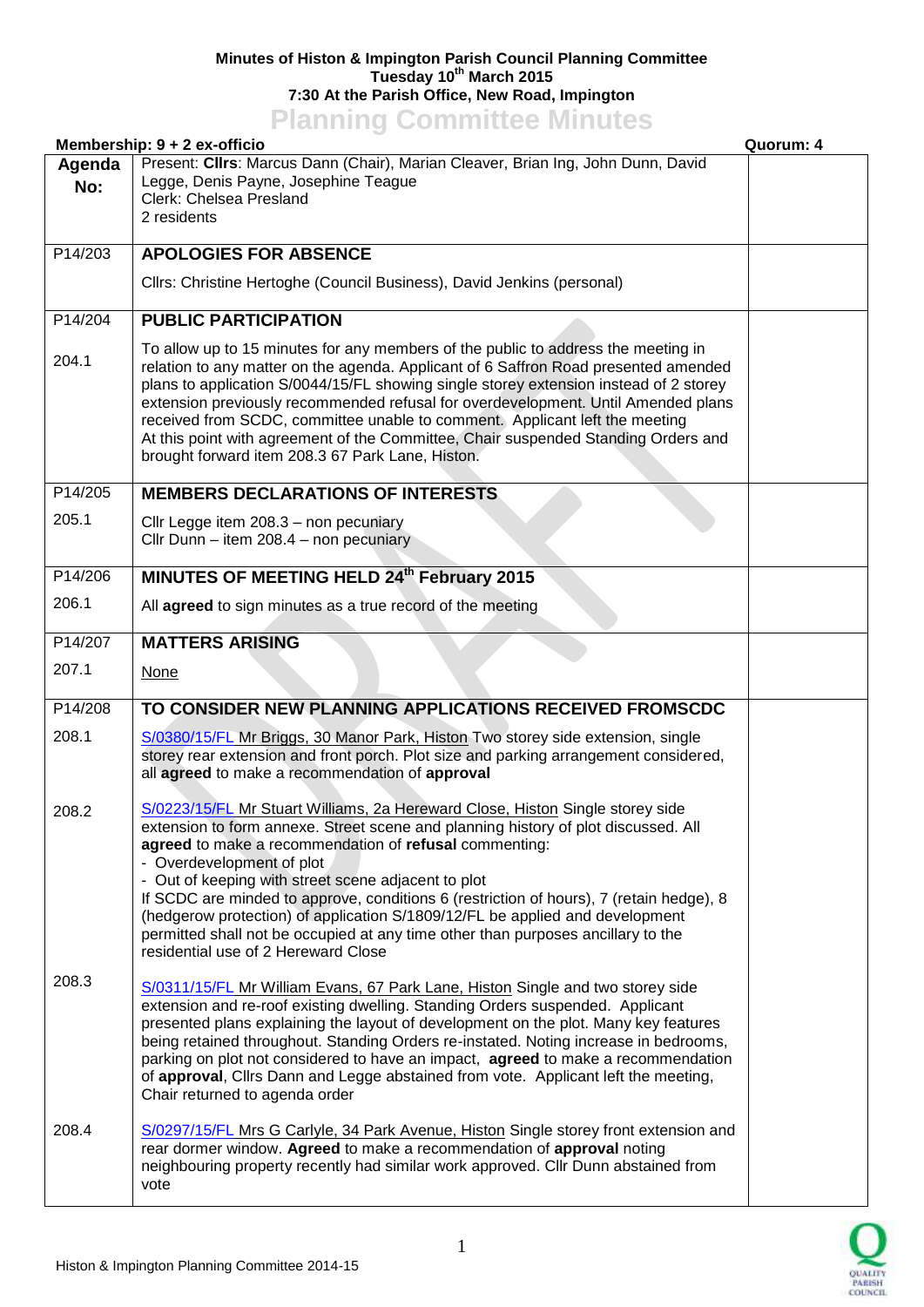## **Minutes of Histon & Impington Parish Council Planning Committee Tuesday 10th March 2015 7:30 At the Parish Office, New Road, Impington Planning Committee Minutes**

|                | <b>I KILING COMMITTED MILLATES</b><br>Membership: 9 + 2 ex-officio                                                                                                                                                                                                                                                                                                                                                                                                                                                                                                              | Quorum: 4 |
|----------------|---------------------------------------------------------------------------------------------------------------------------------------------------------------------------------------------------------------------------------------------------------------------------------------------------------------------------------------------------------------------------------------------------------------------------------------------------------------------------------------------------------------------------------------------------------------------------------|-----------|
| Agenda<br>No:  | Present: Clirs: Marcus Dann (Chair), Marian Cleaver, Brian Ing, John Dunn, David<br>Legge, Denis Payne, Josephine Teague<br>Clerk: Chelsea Presland<br>2 residents                                                                                                                                                                                                                                                                                                                                                                                                              |           |
| P14/203        | <b>APOLOGIES FOR ABSENCE</b>                                                                                                                                                                                                                                                                                                                                                                                                                                                                                                                                                    |           |
|                | Cllrs: Christine Hertoghe (Council Business), David Jenkins (personal)                                                                                                                                                                                                                                                                                                                                                                                                                                                                                                          |           |
| P14/204        | <b>PUBLIC PARTICIPATION</b>                                                                                                                                                                                                                                                                                                                                                                                                                                                                                                                                                     |           |
| 204.1          | To allow up to 15 minutes for any members of the public to address the meeting in<br>relation to any matter on the agenda. Applicant of 6 Saffron Road presented amended<br>plans to application S/0044/15/FL showing single storey extension instead of 2 storey<br>extension previously recommended refusal for overdevelopment. Until Amended plans<br>received from SCDC, committee unable to comment. Applicant left the meeting<br>At this point with agreement of the Committee, Chair suspended Standing Orders and<br>brought forward item 208.3 67 Park Lane, Histon. |           |
| P14/205        | <b>MEMBERS DECLARATIONS OF INTERESTS</b>                                                                                                                                                                                                                                                                                                                                                                                                                                                                                                                                        |           |
| 205.1          | Cllr Legge item 208.3 - non pecuniary<br>Cllr Dunn - item 208.4 - non pecuniary                                                                                                                                                                                                                                                                                                                                                                                                                                                                                                 |           |
| P14/206        | MINUTES OF MEETING HELD 24th February 2015                                                                                                                                                                                                                                                                                                                                                                                                                                                                                                                                      |           |
| 206.1          | All agreed to sign minutes as a true record of the meeting                                                                                                                                                                                                                                                                                                                                                                                                                                                                                                                      |           |
| P14/207        | <b>MATTERS ARISING</b>                                                                                                                                                                                                                                                                                                                                                                                                                                                                                                                                                          |           |
| 207.1          | <b>None</b>                                                                                                                                                                                                                                                                                                                                                                                                                                                                                                                                                                     |           |
| P14/208        | TO CONSIDER NEW PLANNING APPLICATIONS RECEIVED FROMSCDC                                                                                                                                                                                                                                                                                                                                                                                                                                                                                                                         |           |
| 208.1<br>208.2 | S/0380/15/FL Mr Briggs, 30 Manor Park, Histon Two storey side extension, single<br>storey rear extension and front porch. Plot size and parking arrangement considered,<br>all agreed to make a recommendation of approval<br>S/0223/15/FL Mr Stuart Williams, 2a Hereward Close, Histon Single storey side<br>extension to form annexe. Street scene and planning history of plot discussed. All<br>agreed to make a recommendation of refusal commenting:<br>- Overdevelopment of plot                                                                                        |           |
|                | - Out of keeping with street scene adjacent to plot<br>If SCDC are minded to approve, conditions 6 (restriction of hours), 7 (retain hedge), 8<br>(hedgerow protection) of application S/1809/12/FL be applied and development<br>permitted shall not be occupied at any time other than purposes ancillary to the<br>residential use of 2 Hereward Close                                                                                                                                                                                                                       |           |
| 208.3          | S/0311/15/FL Mr William Evans, 67 Park Lane, Histon Single and two storey side<br>extension and re-roof existing dwelling. Standing Orders suspended. Applicant<br>presented plans explaining the layout of development on the plot. Many key features<br>being retained throughout. Standing Orders re-instated. Noting increase in bedrooms,<br>parking on plot not considered to have an impact, agreed to make a recommendation<br>of approval, Cllrs Dann and Legge abstained from vote. Applicant left the meeting,<br>Chair returned to agenda order                     |           |
| 208.4          | S/0297/15/FL Mrs G Carlyle, 34 Park Avenue, Histon Single storey front extension and<br>rear dormer window. Agreed to make a recommendation of approval noting<br>neighbouring property recently had similar work approved. Cllr Dunn abstained from<br>vote                                                                                                                                                                                                                                                                                                                    |           |